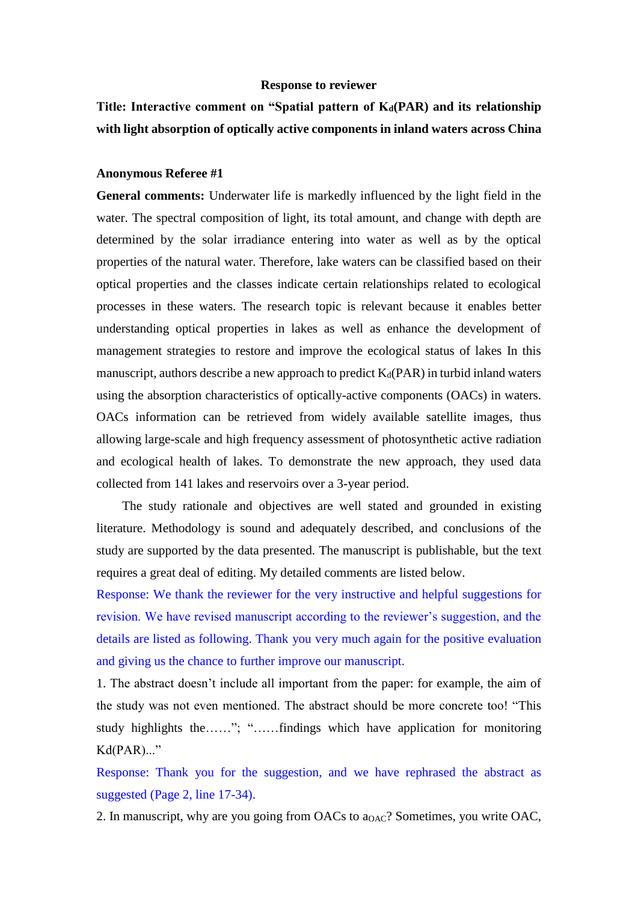## **Response to reviewer**

## **Title: Interactive comment on "Spatial pattern of Kd(PAR) and its relationship with light absorption of optically active components in inland waters across China**

## **Anonymous Referee #1**

**General comments:** Underwater life is markedly influenced by the light field in the water. The spectral composition of light, its total amount, and change with depth are determined by the solar irradiance entering into water as well as by the optical properties of the natural water. Therefore, lake waters can be classified based on their optical properties and the classes indicate certain relationships related to ecological processes in these waters. The research topic is relevant because it enables better understanding optical properties in lakes as well as enhance the development of management strategies to restore and improve the ecological status of lakes In this manuscript, authors describe a new approach to predict  $K_d(PAR)$  in turbid inland waters using the absorption characteristics of optically-active components (OACs) in waters. OACs information can be retrieved from widely available satellite images, thus allowing large-scale and high frequency assessment of photosynthetic active radiation and ecological health of lakes. To demonstrate the new approach, they used data collected from 141 lakes and reservoirs over a 3-year period.

The study rationale and objectives are well stated and grounded in existing literature. Methodology is sound and adequately described, and conclusions of the study are supported by the data presented. The manuscript is publishable, but the text requires a great deal of editing. My detailed comments are listed below.

Response: We thank the reviewer for the very instructive and helpful suggestions for revision. We have revised manuscript according to the reviewer's suggestion, and the details are listed as following. Thank you very much again for the positive evaluation and giving us the chance to further improve our manuscript.

1. The abstract doesn't include all important from the paper: for example, the aim of the study was not even mentioned. The abstract should be more concrete too! "This study highlights the……"; "……findings which have application for monitoring Kd(PAR)..."

Response: Thank you for the suggestion, and we have rephrased the abstract as suggested (Page 2, line 17-34).

2. In manuscript, why are you going from OACs to  $a_{OAC}$ ? Sometimes, you write OAC,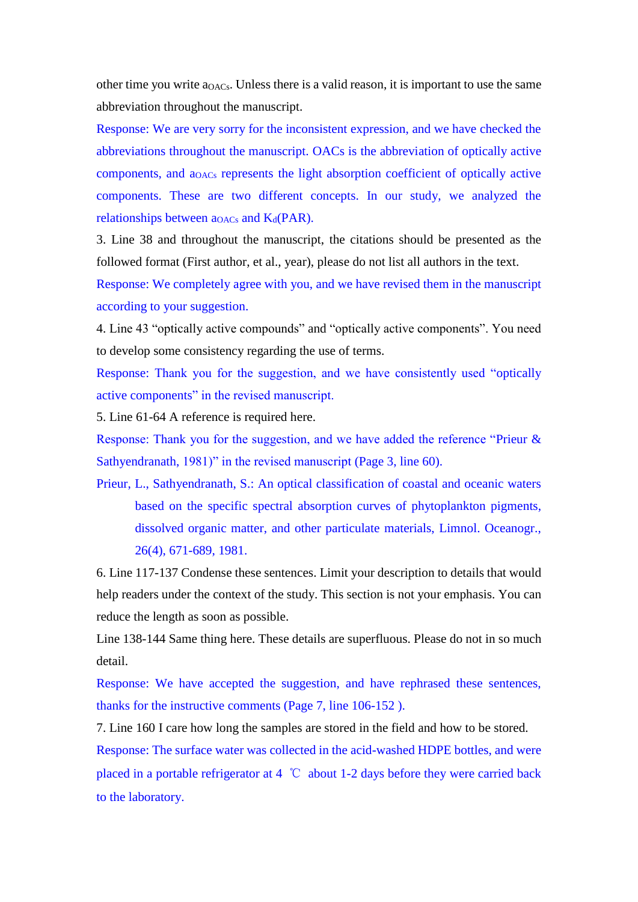other time you write  $a<sub>OACs</sub>$ . Unless there is a valid reason, it is important to use the same abbreviation throughout the manuscript.

Response: We are very sorry for the inconsistent expression, and we have checked the abbreviations throughout the manuscript. OACs is the abbreviation of optically active components, and aOACs represents the light absorption coefficient of optically active components. These are two different concepts. In our study, we analyzed the relationships between  $a_{OACs}$  and  $K_d(PAR)$ .

3. Line 38 and throughout the manuscript, the citations should be presented as the followed format (First author, et al., year), please do not list all authors in the text.

Response: We completely agree with you, and we have revised them in the manuscript according to your suggestion.

4. Line 43 "optically active compounds" and "optically active components". You need to develop some consistency regarding the use of terms.

Response: Thank you for the suggestion, and we have consistently used "optically active components" in the revised manuscript.

5. Line 61-64 A reference is required here.

Response: Thank you for the suggestion, and we have added the reference "Prieur & Sathyendranath, 1981)" in the revised manuscript (Page 3, line 60).

Prieur, L., Sathyendranath, S.: An optical classification of coastal and oceanic waters based on the specific spectral absorption curves of phytoplankton pigments, dissolved organic matter, and other particulate materials, Limnol. Oceanogr., 26(4), 671-689, 1981.

6. Line 117-137 Condense these sentences. Limit your description to details that would help readers under the context of the study. This section is not your emphasis. You can reduce the length as soon as possible.

Line 138-144 Same thing here. These details are superfluous. Please do not in so much detail.

Response: We have accepted the suggestion, and have rephrased these sentences, thanks for the instructive comments (Page 7, line 106-152 ).

7. Line 160 I care how long the samples are stored in the field and how to be stored.

Response: The surface water was collected in the acid-washed HDPE bottles, and were placed in a portable refrigerator at 4 ℃ about 1-2 days before they were carried back to the laboratory.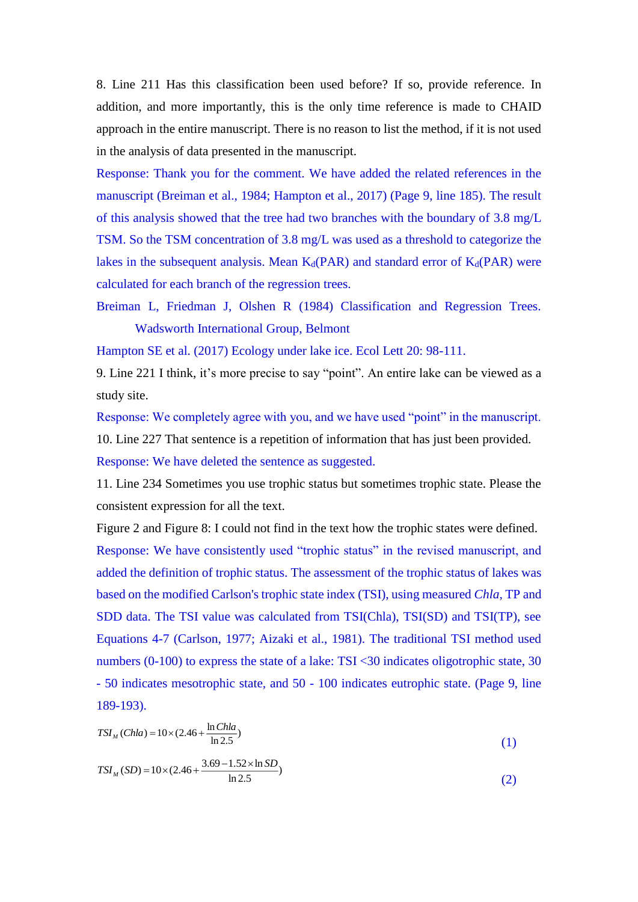8. Line 211 Has this classification been used before? If so, provide reference. In addition, and more importantly, this is the only time reference is made to CHAID approach in the entire manuscript. There is no reason to list the method, if it is not used in the analysis of data presented in the manuscript.

Response: Thank you for the comment. We have added the related references in the manuscript (Breiman et al., 1984; Hampton et al., 2017) (Page 9, line 185). The result of this analysis showed that the tree had two branches with the boundary of 3.8 mg/L TSM. So the TSM concentration of 3.8 mg/L was used as a threshold to categorize the lakes in the subsequent analysis. Mean  $K_d(PAR)$  and standard error of  $K_d(PAR)$  were calculated for each branch of the regression trees.

Breiman L, Friedman J, Olshen R (1984) Classification and Regression Trees. Wadsworth International Group, Belmont

Hampton SE et al. (2017) Ecology under lake ice. Ecol Lett 20: 98-111.

9. Line 221 I think, it's more precise to say "point". An entire lake can be viewed as a study site.

Response: We completely agree with you, and we have used "point" in the manuscript. 10. Line 227 That sentence is a repetition of information that has just been provided.

Response: We have deleted the sentence as suggested.

11. Line 234 Sometimes you use trophic status but sometimes trophic state. Please the consistent expression for all the text.

Figure 2 and Figure 8: I could not find in the text how the trophic states were defined. Response: We have consistently used "trophic status" in the revised manuscript, and added the definition of trophic status. The assessment of the trophic status of lakes was based on the modified Carlson's trophic state index (TSI), using measured *Chla*, TP and SDD data. The TSI value was calculated from TSI(Chla), TSI(SD) and TSI(TP), see Equations 4-7 (Carlson, 1977; Aizaki et al., 1981). The traditional TSI method used numbers (0-100) to express the state of a lake: TSI <30 indicates oligotrophic state, 30 - 50 indicates mesotrophic state, and 50 - 100 indicates eutrophic state. (Page 9, line 189-193).

$$
TSI_M(Chla) = 10 \times (2.46 + \frac{\ln Chla}{\ln 2.5})
$$
\n<sup>(1)</sup>

$$
TSI_M(SD) = 10 \times (2.46 + \frac{3.69 - 1.52 \times \ln SD}{\ln 2.5})
$$
\n(2)